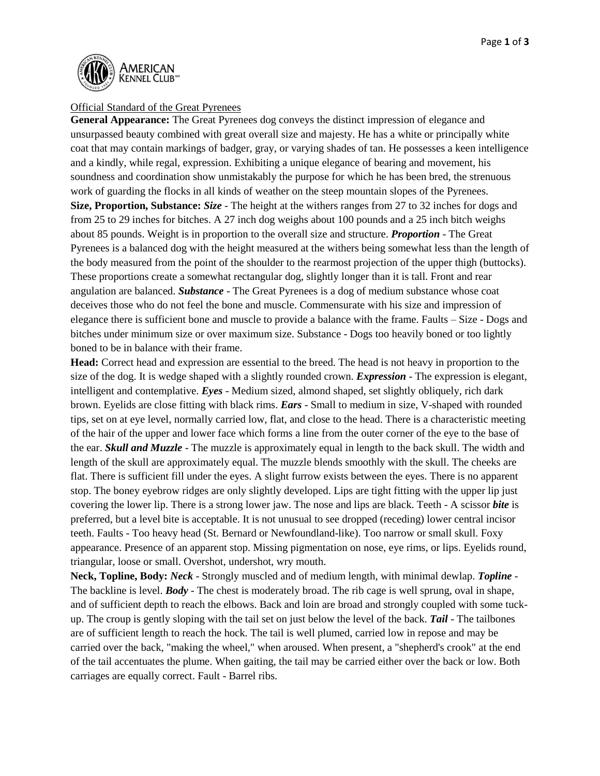

## Official Standard of the Great Pyrenees

**General Appearance:** The Great Pyrenees dog conveys the distinct impression of elegance and unsurpassed beauty combined with great overall size and majesty. He has a white or principally white coat that may contain markings of badger, gray, or varying shades of tan. He possesses a keen intelligence and a kindly, while regal, expression. Exhibiting a unique elegance of bearing and movement, his soundness and coordination show unmistakably the purpose for which he has been bred, the strenuous work of guarding the flocks in all kinds of weather on the steep mountain slopes of the Pyrenees. **Size, Proportion, Substance:** *Size* - The height at the withers ranges from 27 to 32 inches for dogs and from 25 to 29 inches for bitches. A 27 inch dog weighs about 100 pounds and a 25 inch bitch weighs about 85 pounds. Weight is in proportion to the overall size and structure. *Proportion* - The Great Pyrenees is a balanced dog with the height measured at the withers being somewhat less than the length of the body measured from the point of the shoulder to the rearmost projection of the upper thigh (buttocks). These proportions create a somewhat rectangular dog, slightly longer than it is tall. Front and rear angulation are balanced. *Substance* - The Great Pyrenees is a dog of medium substance whose coat deceives those who do not feel the bone and muscle. Commensurate with his size and impression of elegance there is sufficient bone and muscle to provide a balance with the frame. Faults – Size - Dogs and bitches under minimum size or over maximum size. Substance - Dogs too heavily boned or too lightly boned to be in balance with their frame.

**Head:** Correct head and expression are essential to the breed. The head is not heavy in proportion to the size of the dog. It is wedge shaped with a slightly rounded crown. *Expression* - The expression is elegant, intelligent and contemplative. *Eyes* - Medium sized, almond shaped, set slightly obliquely, rich dark brown. Eyelids are close fitting with black rims. *Ears* - Small to medium in size, V-shaped with rounded tips, set on at eye level, normally carried low, flat, and close to the head. There is a characteristic meeting of the hair of the upper and lower face which forms a line from the outer corner of the eye to the base of the ear. *Skull and Muzzle* - The muzzle is approximately equal in length to the back skull. The width and length of the skull are approximately equal. The muzzle blends smoothly with the skull. The cheeks are flat. There is sufficient fill under the eyes. A slight furrow exists between the eyes. There is no apparent stop. The boney eyebrow ridges are only slightly developed. Lips are tight fitting with the upper lip just covering the lower lip. There is a strong lower jaw. The nose and lips are black. Teeth - A scissor *bite* is preferred, but a level bite is acceptable. It is not unusual to see dropped (receding) lower central incisor teeth. Faults - Too heavy head (St. Bernard or Newfoundland-like). Too narrow or small skull. Foxy appearance. Presence of an apparent stop. Missing pigmentation on nose, eye rims, or lips. Eyelids round, triangular, loose or small. Overshot, undershot, wry mouth.

**Neck, Topline, Body:** *Neck* - Strongly muscled and of medium length, with minimal dewlap. *Topline* - The backline is level. *Body* - The chest is moderately broad. The rib cage is well sprung, oval in shape, and of sufficient depth to reach the elbows. Back and loin are broad and strongly coupled with some tuckup. The croup is gently sloping with the tail set on just below the level of the back. *Tail* - The tailbones are of sufficient length to reach the hock. The tail is well plumed, carried low in repose and may be carried over the back, "making the wheel," when aroused. When present, a "shepherd's crook" at the end of the tail accentuates the plume. When gaiting, the tail may be carried either over the back or low. Both carriages are equally correct. Fault - Barrel ribs.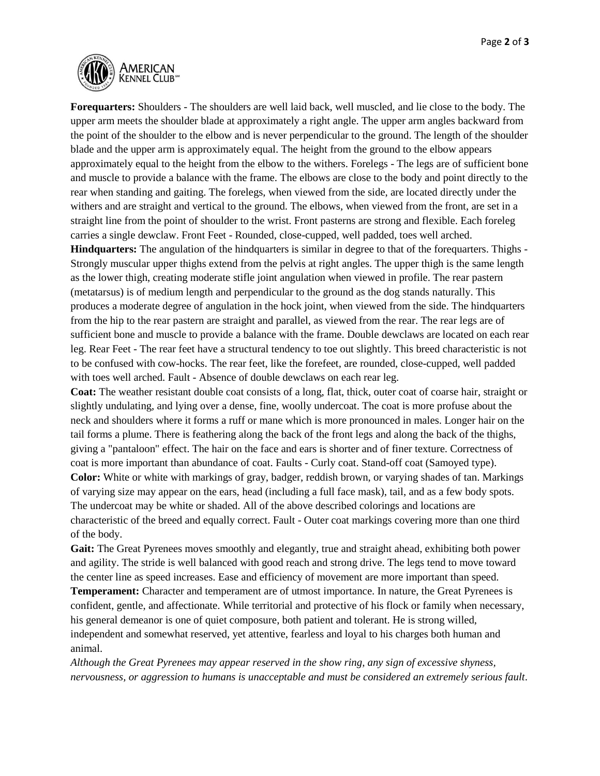

**Forequarters:** Shoulders - The shoulders are well laid back, well muscled, and lie close to the body. The upper arm meets the shoulder blade at approximately a right angle. The upper arm angles backward from the point of the shoulder to the elbow and is never perpendicular to the ground. The length of the shoulder blade and the upper arm is approximately equal. The height from the ground to the elbow appears approximately equal to the height from the elbow to the withers. Forelegs - The legs are of sufficient bone and muscle to provide a balance with the frame. The elbows are close to the body and point directly to the rear when standing and gaiting. The forelegs, when viewed from the side, are located directly under the withers and are straight and vertical to the ground. The elbows, when viewed from the front, are set in a straight line from the point of shoulder to the wrist. Front pasterns are strong and flexible. Each foreleg carries a single dewclaw. Front Feet - Rounded, close-cupped, well padded, toes well arched.

**Hindquarters:** The angulation of the hindquarters is similar in degree to that of the forequarters. Thighs - Strongly muscular upper thighs extend from the pelvis at right angles. The upper thigh is the same length as the lower thigh, creating moderate stifle joint angulation when viewed in profile. The rear pastern (metatarsus) is of medium length and perpendicular to the ground as the dog stands naturally. This produces a moderate degree of angulation in the hock joint, when viewed from the side. The hindquarters from the hip to the rear pastern are straight and parallel, as viewed from the rear. The rear legs are of sufficient bone and muscle to provide a balance with the frame. Double dewclaws are located on each rear leg. Rear Feet - The rear feet have a structural tendency to toe out slightly. This breed characteristic is not to be confused with cow-hocks. The rear feet, like the forefeet, are rounded, close-cupped, well padded with toes well arched. Fault - Absence of double dewclaws on each rear leg.

**Coat:** The weather resistant double coat consists of a long, flat, thick, outer coat of coarse hair, straight or slightly undulating, and lying over a dense, fine, woolly undercoat. The coat is more profuse about the neck and shoulders where it forms a ruff or mane which is more pronounced in males. Longer hair on the tail forms a plume. There is feathering along the back of the front legs and along the back of the thighs, giving a "pantaloon" effect. The hair on the face and ears is shorter and of finer texture. Correctness of coat is more important than abundance of coat. Faults - Curly coat. Stand-off coat (Samoyed type). **Color:** White or white with markings of gray, badger, reddish brown, or varying shades of tan. Markings of varying size may appear on the ears, head (including a full face mask), tail, and as a few body spots. The undercoat may be white or shaded. All of the above described colorings and locations are characteristic of the breed and equally correct. Fault - Outer coat markings covering more than one third of the body.

**Gait:** The Great Pyrenees moves smoothly and elegantly, true and straight ahead, exhibiting both power and agility. The stride is well balanced with good reach and strong drive. The legs tend to move toward the center line as speed increases. Ease and efficiency of movement are more important than speed.

**Temperament:** Character and temperament are of utmost importance. In nature, the Great Pyrenees is confident, gentle, and affectionate. While territorial and protective of his flock or family when necessary, his general demeanor is one of quiet composure, both patient and tolerant. He is strong willed, independent and somewhat reserved, yet attentive, fearless and loyal to his charges both human and animal.

*Although the Great Pyrenees may appear reserved in the show ring, any sign of excessive shyness, nervousness, or aggression to humans is unacceptable and must be considered an extremely serious fault*.